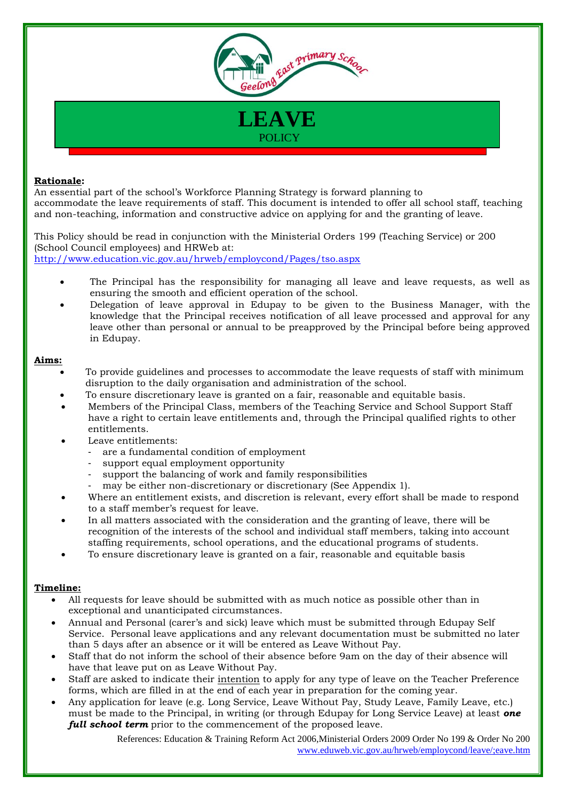

### **Rationale:**

An essential part of the school's Workforce Planning Strategy is forward planning to accommodate the leave requirements of staff. This document is intended to offer all school staff, teaching and non-teaching, information and constructive advice on applying for and the granting of leave.

This Policy should be read in conjunction with the Ministerial Orders 199 (Teaching Service) or 200 (School Council employees) and HRWeb at: <http://www.education.vic.gov.au/hrweb/employcond/Pages/tso.aspx>

- The Principal has the responsibility for managing all leave and leave requests, as well as ensuring the smooth and efficient operation of the school.
- Delegation of leave approval in Edupay to be given to the Business Manager, with the knowledge that the Principal receives notification of all leave processed and approval for any leave other than personal or annual to be preapproved by the Principal before being approved in Edupay.

### **Aims:**

- To provide guidelines and processes to accommodate the leave requests of staff with minimum disruption to the daily organisation and administration of the school.
- To ensure discretionary leave is granted on a fair, reasonable and equitable basis.
- Members of the Principal Class, members of the Teaching Service and School Support Staff have a right to certain leave entitlements and, through the Principal qualified rights to other entitlements.
- Leave entitlements:
	- are a fundamental condition of employment
	- support equal employment opportunity
	- support the balancing of work and family responsibilities
	- may be either non-discretionary or discretionary (See Appendix 1).
- Where an entitlement exists, and discretion is relevant, every effort shall be made to respond to a staff member's request for leave.
- In all matters associated with the consideration and the granting of leave, there will be recognition of the interests of the school and individual staff members, taking into account staffing requirements, school operations, and the educational programs of students.
- To ensure discretionary leave is granted on a fair, reasonable and equitable basis

# **Timeline:**

- All requests for leave should be submitted with as much notice as possible other than in exceptional and unanticipated circumstances.
- Annual and Personal (carer's and sick) leave which must be submitted through Edupay Self Service. Personal leave applications and any relevant documentation must be submitted no later than 5 days after an absence or it will be entered as Leave Without Pay.
- Staff that do not inform the school of their absence before 9am on the day of their absence will have that leave put on as Leave Without Pay.
- Staff are asked to indicate their intention to apply for any type of leave on the Teacher Preference forms, which are filled in at the end of each year in preparation for the coming year.
- Any application for leave (e.g. Long Service, Leave Without Pay, Study Leave, Family Leave, etc.) must be made to the Principal, in writing (or through Edupay for Long Service Leave) at least *one full school term* prior to the commencement of the proposed leave.

 References: Education & Training Reform Act 2006,Ministerial Orders 2009 Order No 199 & Order No 200 [www.eduweb.vic.gov.au/hrweb/employcond/leave/;eave.htm](http://www.eduweb.vic.gov.au/hrweb/employcond/leave/;eave.htm)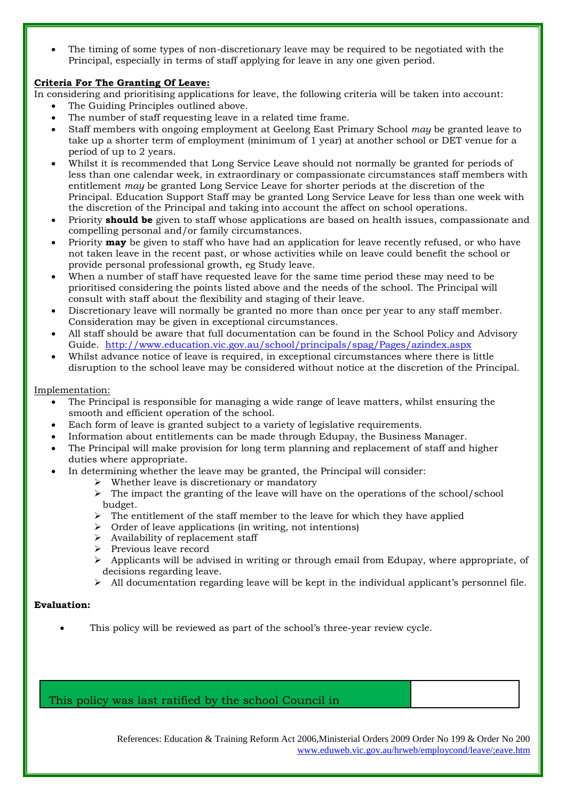The timing of some types of non-discretionary leave may be required to be negotiated with the Principal, especially in terms of staff applying for leave in any one given period.

# **Criteria For The Granting Of Leave:**

In considering and prioritising applications for leave, the following criteria will be taken into account:

- The Guiding Principles outlined above.
- The number of staff requesting leave in a related time frame.
- Staff members with ongoing employment at Geelong East Primary School *may* be granted leave to take up a shorter term of employment (minimum of 1 year) at another school or DET venue for a period of up to 2 years.
- Whilst it is recommended that Long Service Leave should not normally be granted for periods of less than one calendar week, in extraordinary or compassionate circumstances staff members with entitlement *may* be granted Long Service Leave for shorter periods at the discretion of the Principal. Education Support Staff may be granted Long Service Leave for less than one week with the discretion of the Principal and taking into account the affect on school operations.
- Priority **should be** given to staff whose applications are based on health issues, compassionate and compelling personal and/or family circumstances.
- Priority **may** be given to staff who have had an application for leave recently refused, or who have not taken leave in the recent past, or whose activities while on leave could benefit the school or provide personal professional growth, eg Study leave.
- When a number of staff have requested leave for the same time period these may need to be prioritised considering the points listed above and the needs of the school. The Principal will consult with staff about the flexibility and staging of their leave.
- Discretionary leave will normally be granted no more than once per year to any staff member. Consideration may be given in exceptional circumstances.
- All staff should be aware that full documentation can be found in the School Policy and Advisory Guide. <http://www.education.vic.gov.au/school/principals/spag/Pages/azindex.aspx>
- Whilst advance notice of leave is required, in exceptional circumstances where there is little disruption to the school leave may be considered without notice at the discretion of the Principal.

## Implementation:

- The Principal is responsible for managing a wide range of leave matters, whilst ensuring the smooth and efficient operation of the school.
- Each form of leave is granted subject to a variety of legislative requirements.
- Information about entitlements can be made through Edupay, the Business Manager.
- The Principal will make provision for long term planning and replacement of staff and higher duties where appropriate.
	- In determining whether the leave may be granted, the Principal will consider:
		- $\triangleright$  Whether leave is discretionary or mandatory
		- $\triangleright$  The impact the granting of the leave will have on the operations of the school/school budget.
		- $\triangleright$  The entitlement of the staff member to the leave for which they have applied
		- $\triangleright$  Order of leave applications (in writing, not intentions)
		- $\triangleright$  Availability of replacement staff
		- Previous leave record
		- $\triangleright$  Applicants will be advised in writing or through email from Edupay, where appropriate, of decisions regarding leave.
		- $\triangleright$  All documentation regarding leave will be kept in the individual applicant's personnel file.

## **Evaluation:**

This policy will be reviewed as part of the school's three-year review cycle.

This policy was last ratified by the school Council in

 References: Education & Training Reform Act 2006,Ministerial Orders 2009 Order No 199 & Order No 200 [www.eduweb.vic.gov.au/hrweb/employcond/leave/;eave.htm](http://www.eduweb.vic.gov.au/hrweb/employcond/leave/;eave.htm)